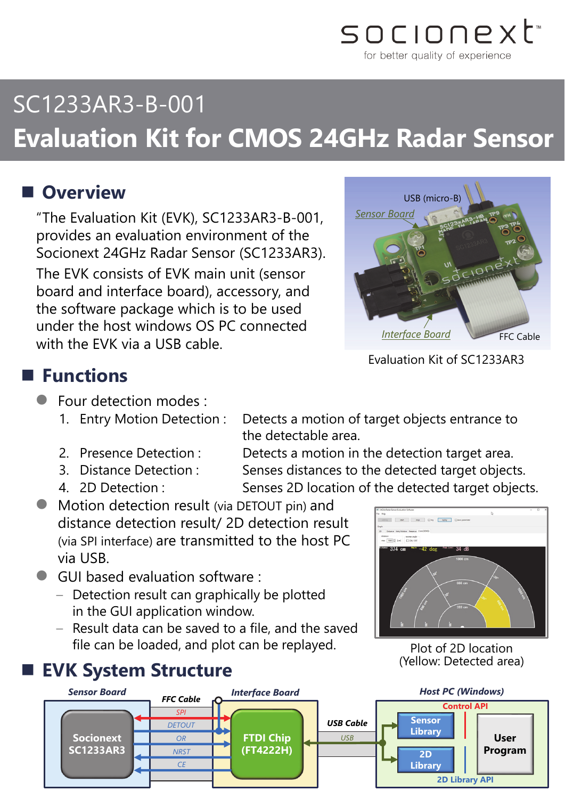

# SC1233AR3-B-001 **Evaluation Kit for CMOS 24GHz Radar Sensor**

### **Overview**

"The Evaluation Kit (EVK), SC1233AR3-B-001, provides an evaluation environment of the Socionext 24GHz Radar Sensor (SC1233AR3). The EVK consists of EVK main unit (sensor board and interface board), accessory, and the software package which is to be used under the host windows OS PC connected with the EVK via a USB cable.



Evaluation Kit of SC1233AR3

### **Functions**

- **Four detection modes :** 
	- 1. Entry Motion Detection : Detects a motion of target objects entrance to
	-
	-
	-

the detectable area. 2. Presence Detection : Detects a motion in the detection target area.

- 3. Distance Detection : Senses distances to the detected target objects. 4. 2D Detection : Senses 2D location of the detected target objects.
- Motion detection result (via DETOUT pin) and distance detection result/ 2D detection result (via SPI interface) are transmitted to the host PC via USB.
- GUI based evaluation software :
	- Detection result can graphically be plotted in the GUI application window.
	- Result data can be saved to a file, and the saved file can be loaded, and plot can be replayed.

### **EVK System Structure**



Plot of 2D location (Yellow: Detected area)